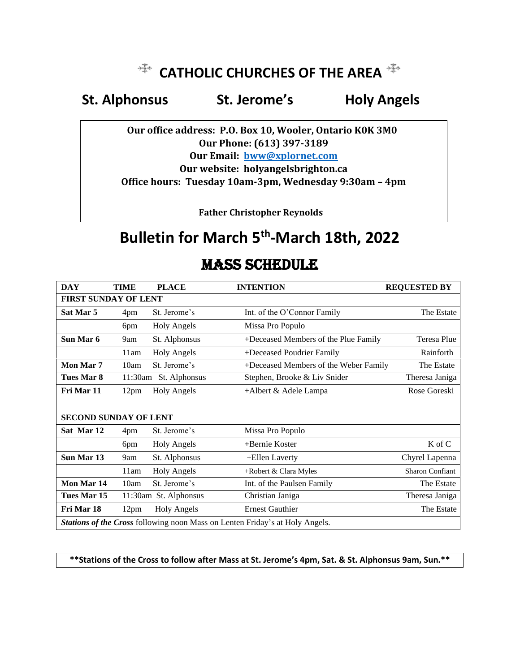# *E***<sup>+</sup>**</sup> CATHOLIC CHURCHES OF THE AREA  $\frac{125}{120}$

# **St. Alpho[ns](http://commons.wikimedia.org/wiki/File:Coptic_Cross_monochrome.svg)us St. Jerome's Holy A[ng](http://commons.wikimedia.org/wiki/File:Coptic_Cross_monochrome.svg)els**

 **Ou[r o](http://commons.wikimedia.org/wiki/File:Coptic_Cross_monochrome.svg)ffice address: P.O. Box 10, Wooler, Ontario K0K 3[M0](http://commons.wikimedia.org/wiki/File:Coptic_Cross_monochrome.svg) Our Phone: (613) 397-3189 Our Email: [bww@xplornet.com](mailto:bww@xplornet.com) Our website: holyangelsbrighton.ca Office hours: Tuesday 10am-3pm, Wednesday 9:30am – 4pm**

 **Father Christopher Reynolds**

# **Bulletin for March 5 th -March 18th, 2022**

| <b>DAY</b>                                                                   | TIME             | <b>PLACE</b>          | <b>INTENTION</b>                      | <b>REQUESTED BY</b>    |
|------------------------------------------------------------------------------|------------------|-----------------------|---------------------------------------|------------------------|
| <b>FIRST SUNDAY OF LENT</b>                                                  |                  |                       |                                       |                        |
| Sat Mar 5                                                                    | 4pm              | St. Jerome's          | Int. of the O'Connor Family           | The Estate             |
|                                                                              | 6pm              | <b>Holy Angels</b>    | Missa Pro Populo                      |                        |
| Sun Mar 6                                                                    | 9am              | St. Alphonsus         | +Deceased Members of the Plue Family  | <b>Teresa Plue</b>     |
|                                                                              | 11am             | <b>Holy Angels</b>    | +Deceased Poudrier Family             | Rainforth              |
| Mon Mar 7                                                                    | 10am             | St. Jerome's          | +Deceased Members of the Weber Family | The Estate             |
| Tues Mar 8                                                                   | 11:30am          | St. Alphonsus         | Stephen, Brooke & Liv Snider          | Theresa Janiga         |
| Fri Mar 11                                                                   | 12 <sub>pm</sub> | <b>Holy Angels</b>    | $+A$ lbert & Adele Lampa              | Rose Goreski           |
|                                                                              |                  |                       |                                       |                        |
| <b>SECOND SUNDAY OF LENT</b>                                                 |                  |                       |                                       |                        |
| Sat Mar 12                                                                   | 4pm              | St. Jerome's          | Missa Pro Populo                      |                        |
|                                                                              | 6pm              | <b>Holy Angels</b>    | +Bernie Koster                        | K of C                 |
| Sun Mar 13                                                                   | 9am              | St. Alphonsus         | +Ellen Laverty                        | Chyrel Lapenna         |
|                                                                              | 11am             | <b>Holy Angels</b>    | +Robert & Clara Myles                 | <b>Sharon Confiant</b> |
| Mon Mar 14                                                                   | 10am             | St. Jerome's          | Int. of the Paulsen Family            | The Estate             |
| Tues Mar 15                                                                  |                  | 11:30am St. Alphonsus | Christian Janiga                      | Theresa Janiga         |
| Fri Mar 18                                                                   | 12 <sub>pm</sub> | <b>Holy Angels</b>    | <b>Ernest Gauthier</b>                | The Estate             |
| Stations of the Cross following noon Mass on Lenten Friday's at Holy Angels. |                  |                       |                                       |                        |

# MASS SCHEDULE

## **\*\*Stations of the Cross to follow after Mass at St. Jerome's 4pm, Sat. & St. Alphonsus 9am, Sun.\*\***